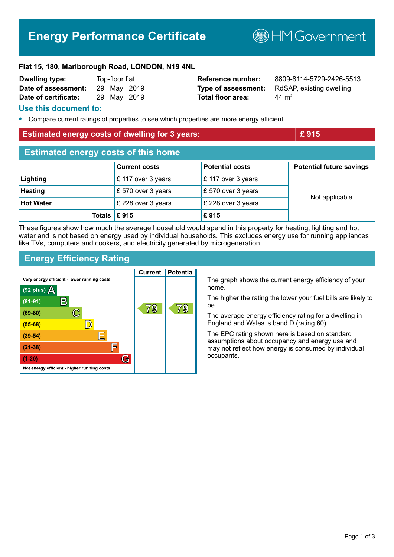# **Energy Performance Certificate**

**MGovernment** 

#### **Flat 15, 180, Marlborough Road, LONDON, N19 4NL**

| <b>Dwelling type:</b> | Top-floor flat |  |             |
|-----------------------|----------------|--|-------------|
| Date of assessment:   |                |  | 29 May 2019 |
| Date of certificate:  |                |  | 29 May 2019 |

**Total floor area:** 44 m<sup>2</sup>

**Reference number:** 8809-8114-5729-2426-5513 **Type of assessment:** RdSAP, existing dwelling

#### **Use this document to:**

**•** Compare current ratings of properties to see which properties are more energy efficient

| <b>Estimated energy costs of dwelling for 3 years:</b> |                      |                        | £915                            |  |
|--------------------------------------------------------|----------------------|------------------------|---------------------------------|--|
| <b>Estimated energy costs of this home</b>             |                      |                        |                                 |  |
|                                                        | <b>Current costs</b> | <b>Potential costs</b> | <b>Potential future savings</b> |  |
| Lighting                                               | £ 117 over 3 years   | £117 over 3 years      |                                 |  |
| <b>Heating</b>                                         | £570 over 3 years    | £570 over 3 years      |                                 |  |
| <b>Hot Water</b>                                       | £ 228 over 3 years   | £ 228 over 3 years     | Not applicable                  |  |
| Totals                                                 | £915                 | £915                   |                                 |  |

These figures show how much the average household would spend in this property for heating, lighting and hot water and is not based on energy used by individual households. This excludes energy use for running appliances like TVs, computers and cookers, and electricity generated by microgeneration.

# **Energy Efficiency Rating**



The graph shows the current energy efficiency of your home.

The higher the rating the lower your fuel bills are likely to be.

The average energy efficiency rating for a dwelling in England and Wales is band D (rating 60).

The EPC rating shown here is based on standard assumptions about occupancy and energy use and may not reflect how energy is consumed by individual occupants.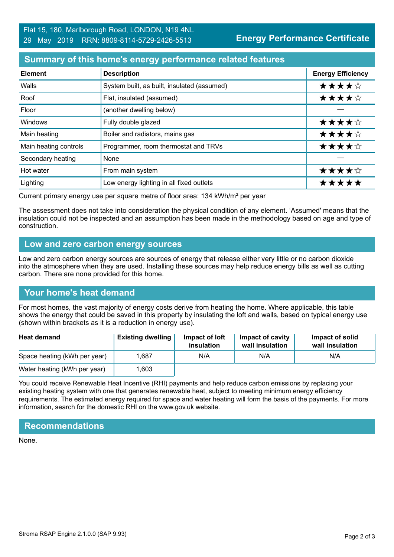#### **Summary of this home's energy performance related features**

| <b>Element</b>        | <b>Description</b>                          | <b>Energy Efficiency</b> |
|-----------------------|---------------------------------------------|--------------------------|
| Walls                 | System built, as built, insulated (assumed) | ★★★★☆                    |
| Roof                  | Flat, insulated (assumed)                   | ★★★★☆                    |
| Floor                 | (another dwelling below)                    |                          |
| Windows               | Fully double glazed                         | ★★★★☆                    |
| Main heating          | Boiler and radiators, mains gas             | ★★★★☆                    |
| Main heating controls | Programmer, room thermostat and TRVs        | ★★★★☆                    |
| Secondary heating     | None                                        |                          |
| Hot water             | From main system                            | ★★★★☆                    |
| Lighting              | Low energy lighting in all fixed outlets    | *****                    |

Current primary energy use per square metre of floor area: 134 kWh/m² per year

The assessment does not take into consideration the physical condition of any element. 'Assumed' means that the insulation could not be inspected and an assumption has been made in the methodology based on age and type of construction.

#### **Low and zero carbon energy sources**

Low and zero carbon energy sources are sources of energy that release either very little or no carbon dioxide into the atmosphere when they are used. Installing these sources may help reduce energy bills as well as cutting carbon. There are none provided for this home.

# **Your home's heat demand**

For most homes, the vast majority of energy costs derive from heating the home. Where applicable, this table shows the energy that could be saved in this property by insulating the loft and walls, based on typical energy use (shown within brackets as it is a reduction in energy use).

| <b>Heat demand</b>           | <b>Existing dwelling</b> | Impact of loft<br>insulation | Impact of cavity<br>wall insulation | Impact of solid<br>wall insulation |
|------------------------------|--------------------------|------------------------------|-------------------------------------|------------------------------------|
| Space heating (kWh per year) | .687                     | N/A                          | N/A                                 | N/A                                |
| Water heating (kWh per year) | .603                     |                              |                                     |                                    |

You could receive Renewable Heat Incentive (RHI) payments and help reduce carbon emissions by replacing your existing heating system with one that generates renewable heat, subject to meeting minimum energy efficiency requirements. The estimated energy required for space and water heating will form the basis of the payments. For more information, search for the domestic RHI on the www.gov.uk website.

# **Recommendations**

None.